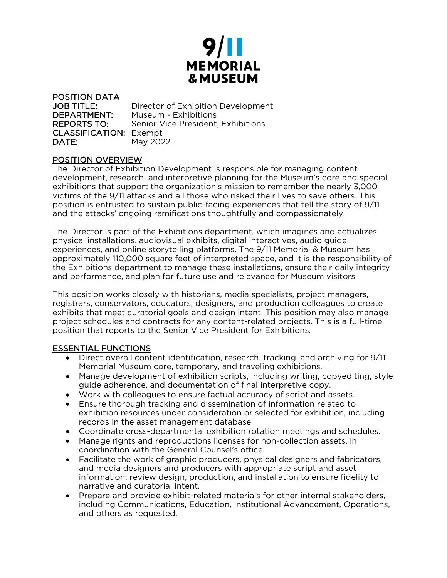

POSITION DATA JOB TITLE: Director of Exhibition Development DEPARTMENT: Museum - Exhibitions REPORTS TO: Senior Vice President, Exhibitions CLASSIFICATION: Exempt **DATE:** May 2022

# POSITION OVERVIEW

The Director of Exhibition Development is responsible for managing content development, research, and interpretive planning for the Museum's core and special exhibitions that support the organization's mission to remember the nearly 3,000 victims of the 9/11 attacks and all those who risked their lives to save others. This position is entrusted to sustain public-facing experiences that tell the story of 9/11 and the attacks' ongoing ramifications thoughtfully and compassionately.

The Director is part of the Exhibitions department, which imagines and actualizes physical installations, audiovisual exhibits, digital interactives, audio guide experiences, and online storytelling platforms. The 9/11 Memorial & Museum has approximately 110,000 square feet of interpreted space, and it is the responsibility of the Exhibitions department to manage these installations, ensure their daily integrity and performance, and plan for future use and relevance for Museum visitors.

This position works closely with historians, media specialists, project managers, registrars, conservators, educators, designers, and production colleagues to create exhibits that meet curatorial goals and design intent. This position may also manage project schedules and contracts for any content-related projects. This is a full-time position that reports to the Senior Vice President for Exhibitions.

# ESSENTIAL FUNCTIONS

- Direct overall content identification, research, tracking, and archiving for 9/11 Memorial Museum core, temporary, and traveling exhibitions.
- Manage development of exhibition scripts, including writing, copyediting, style guide adherence, and documentation of final interpretive copy.
- Work with colleagues to ensure factual accuracy of script and assets.
- Ensure thorough tracking and dissemination of information related to exhibition resources under consideration or selected for exhibition, including records in the asset management database.
- Coordinate cross-departmental exhibition rotation meetings and schedules.
- Manage rights and reproductions licenses for non-collection assets, in coordination with the General Counsel's office.
- Facilitate the work of graphic producers, physical designers and fabricators, and media designers and producers with appropriate script and asset information; review design, production, and installation to ensure fidelity to narrative and curatorial intent.
- Prepare and provide exhibit-related materials for other internal stakeholders, including Communications, Education, Institutional Advancement, Operations, and others as requested.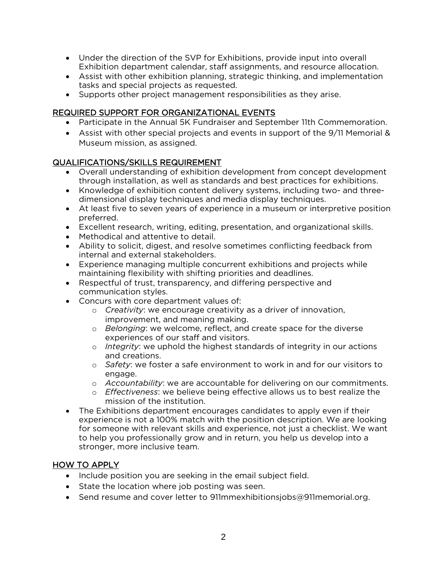- Under the direction of the SVP for Exhibitions, provide input into overall Exhibition department calendar, staff assignments, and resource allocation.
- Assist with other exhibition planning, strategic thinking, and implementation tasks and special projects as requested.
- Supports other project management responsibilities as they arise.

### REQUIRED SUPPORT FOR ORGANIZATIONAL EVENTS

- Participate in the Annual 5K Fundraiser and September 11th Commemoration.
- Assist with other special projects and events in support of the 9/11 Memorial & Museum mission, as assigned.

### QUALIFICATIONS/SKILLS REQUIREMENT

- Overall understanding of exhibition development from concept development through installation, as well as standards and best practices for exhibitions.
- Knowledge of exhibition content delivery systems, including two- and threedimensional display techniques and media display techniques.
- At least five to seven years of experience in a museum or interpretive position preferred.
- Excellent research, writing, editing, presentation, and organizational skills.
- Methodical and attentive to detail.
- Ability to solicit, digest, and resolve sometimes conflicting feedback from internal and external stakeholders.
- Experience managing multiple concurrent exhibitions and projects while maintaining flexibility with shifting priorities and deadlines.
- Respectful of trust, transparency, and differing perspective and communication styles.
- Concurs with core department values of:
	- o *Creativity*: we encourage creativity as a driver of innovation, improvement, and meaning making.
	- o *Belonging*: we welcome, reflect, and create space for the diverse experiences of our staff and visitors.
	- o *Integrity*: we uphold the highest standards of integrity in our actions and creations.
	- o *Safety*: we foster a safe environment to work in and for our visitors to engage.
	- o *Accountability*: we are accountable for delivering on our commitments.
	- o *Effectiveness*: we believe being effective allows us to best realize the mission of the institution.
- The Exhibitions department encourages candidates to apply even if their experience is not a 100% match with the position description. We are looking for someone with relevant skills and experience, not just a checklist. We want to help you professionally grow and in return, you help us develop into a stronger, more inclusive team.

# HOW TO APPLY

- Include position you are seeking in the email subject field.
- State the location where job posting was seen.
- Send resume and cover letter to 911mmexhibitionsjobs@911memorial.org.